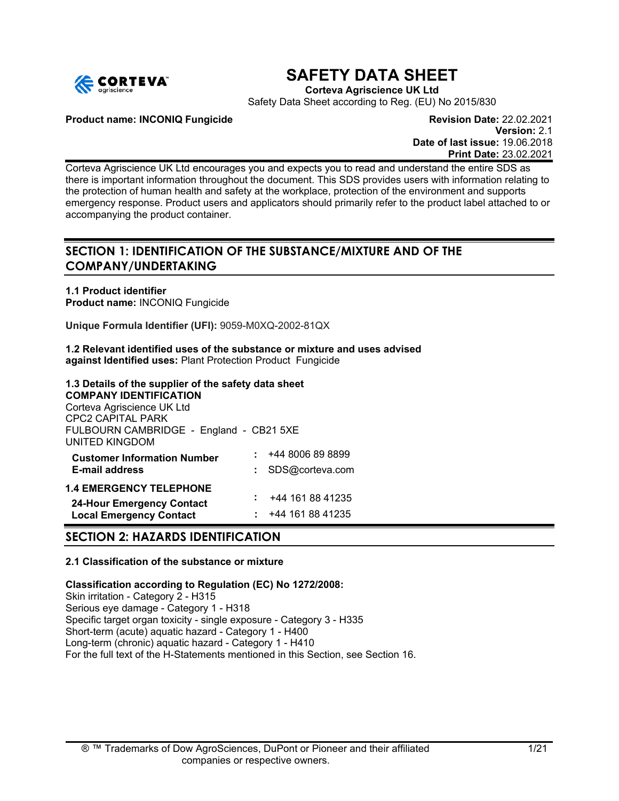

# **SAFETY DATA SHEET**

**Corteva Agriscience UK Ltd**

Safety Data Sheet according to Reg. (EU) No 2015/830

**Product name: INCONIQ Fungicide Revision Date:** 22.02.2021

**Version:** 2.1 **Date of last issue:** 19.06.2018 **Print Date:** 23.02.2021

Corteva Agriscience UK Ltd encourages you and expects you to read and understand the entire SDS as there is important information throughout the document. This SDS provides users with information relating to the protection of human health and safety at the workplace, protection of the environment and supports emergency response. Product users and applicators should primarily refer to the product label attached to or accompanying the product container.

# **SECTION 1: IDENTIFICATION OF THE SUBSTANCE/MIXTURE AND OF THE COMPANY/UNDERTAKING**

**1.1 Product identifier Product name:** INCONIQ Fungicide

**Unique Formula Identifier (UFI):** 9059-M0XQ-2002-81QX

**1.2 Relevant identified uses of the substance or mixture and uses advised against Identified uses:** Plant Protection Product Fungicide

# **1.3 Details of the supplier of the safety data sheet**

**COMPANY IDENTIFICATION** Corteva Agriscience UK Ltd CPC2 CAPITAL PARK FULBOURN CAMBRIDGE - England - CB21 5XE UNITED KINGDOM **Customer Information Number**  $\qquad$   $\qquad$   $\qquad$   $\qquad$   $\qquad$   $\qquad$   $\qquad$   $\qquad$   $\qquad$   $\qquad$   $\qquad$   $\qquad$   $\qquad$   $\qquad$   $\qquad$   $\qquad$   $\qquad$   $\qquad$   $\qquad$   $\qquad$   $\qquad$   $\qquad$   $\qquad$   $\qquad$   $\qquad$   $\qquad$   $\qquad$   $\qquad$   $\qquad$   $\qquad$   $\qquad$   $\qquad$  **E-mail address :** SDS@corteva.com **1.4 EMERGENCY TELEPHONE**

# **24-Hour Emergency Contact :** +44 161 88 41235 **Local Emergency Contact**

# **SECTION 2: HAZARDS IDENTIFICATION**

# **2.1 Classification of the substance or mixture**

**Classification according to Regulation (EC) No 1272/2008:** Skin irritation - Category 2 - H315 Serious eye damage - Category 1 - H318 Specific target organ toxicity - single exposure - Category 3 - H335 Short-term (acute) aquatic hazard - Category 1 - H400 Long-term (chronic) aquatic hazard - Category 1 - H410 For the full text of the H-Statements mentioned in this Section, see Section 16.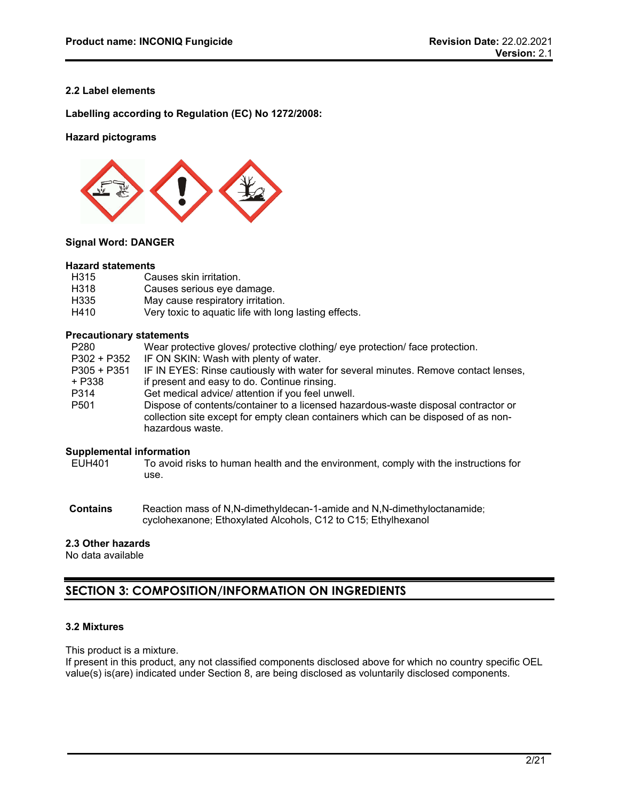# **2.2 Label elements**

**Labelling according to Regulation (EC) No 1272/2008:**

# **Hazard pictograms**



# **Signal Word: DANGER**

#### **Hazard statements**

| H315 | Causes skin irritation.                               |
|------|-------------------------------------------------------|
| H318 | Causes serious eye damage.                            |
| H335 | May cause respiratory irritation.                     |
| H410 | Very toxic to aquatic life with long lasting effects. |

#### **Precautionary statements**

| P280             | Wear protective gloves/ protective clothing/ eye protection/ face protection.                                                                                                                |
|------------------|----------------------------------------------------------------------------------------------------------------------------------------------------------------------------------------------|
| P302 + P352      | IF ON SKIN: Wash with plenty of water.                                                                                                                                                       |
| $P305 + P351$    | IF IN EYES: Rinse cautiously with water for several minutes. Remove contact lenses,                                                                                                          |
| + P338           | if present and easy to do. Continue rinsing.                                                                                                                                                 |
| P314             | Get medical advice/ attention if you feel unwell.                                                                                                                                            |
| P <sub>501</sub> | Dispose of contents/container to a licensed hazardous-waste disposal contractor or<br>collection site except for empty clean containers which can be disposed of as non-<br>hazardous waste. |

# **Supplemental information**<br>EUH401 To avoid ri

- To avoid risks to human health and the environment, comply with the instructions for use.
- **Contains** Reaction mass of N,N-dimethyldecan-1-amide and N,N-dimethyloctanamide; cyclohexanone; Ethoxylated Alcohols, C12 to C15; Ethylhexanol

# **2.3 Other hazards**

No data available

# **SECTION 3: COMPOSITION/INFORMATION ON INGREDIENTS**

# **3.2 Mixtures**

This product is a mixture.

If present in this product, any not classified components disclosed above for which no country specific OEL value(s) is(are) indicated under Section 8, are being disclosed as voluntarily disclosed components.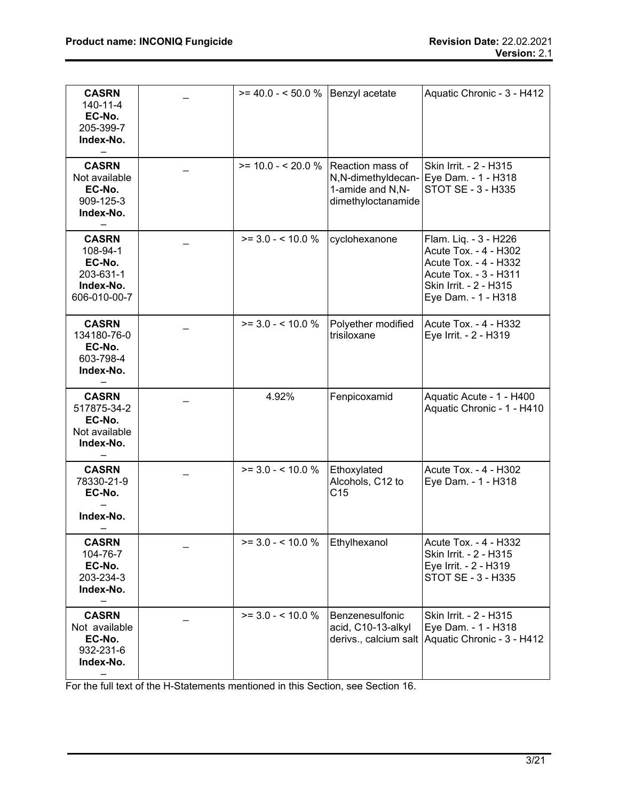| <b>CASRN</b><br>140-11-4<br>EC-No.<br>205-399-7<br>Index-No.                 | $>= 40.0 - 50.0 %$                  | Benzyl acetate                                               | Aquatic Chronic - 3 - H412                                                                                                                        |
|------------------------------------------------------------------------------|-------------------------------------|--------------------------------------------------------------|---------------------------------------------------------------------------------------------------------------------------------------------------|
| <b>CASRN</b><br>Not available<br>EC-No.<br>909-125-3<br>Index-No.            | $>= 10.0 - 20.0 %$ Reaction mass of | N,N-dimethyldecan-<br>1-amide and N,N-<br>dimethyloctanamide | Skin Irrit. - 2 - H315<br>Eye Dam. - 1 - H318<br>STOT SE - 3 - H335                                                                               |
| <b>CASRN</b><br>108-94-1<br>EC-No.<br>203-631-1<br>Index-No.<br>606-010-00-7 | $>= 3.0 - 5.10.0 %$                 | cyclohexanone                                                | Flam. Liq. - 3 - H226<br>Acute Tox. - 4 - H302<br>Acute Tox. - 4 - H332<br>Acute Tox. - 3 - H311<br>Skin Irrit. - 2 - H315<br>Eye Dam. - 1 - H318 |
| <b>CASRN</b><br>134180-76-0<br>EC-No.<br>603-798-4<br>Index-No.              | $>= 3.0 - 5.10.0 %$                 | Polyether modified<br>trisiloxane                            | Acute Tox. - 4 - H332<br>Eye Irrit. - 2 - H319                                                                                                    |
| <b>CASRN</b><br>517875-34-2<br>EC-No.<br>Not available<br>Index-No.          | 4.92%                               | Fenpicoxamid                                                 | Aquatic Acute - 1 - H400<br>Aquatic Chronic - 1 - H410                                                                                            |
| <b>CASRN</b><br>78330-21-9<br>EC-No.<br>Index-No.                            | $>= 3.0 - 5.10.0 %$                 | Ethoxylated<br>Alcohols, C12 to<br>C <sub>15</sub>           | Acute Tox. - 4 - H302<br>Eye Dam. - 1 - H318                                                                                                      |
| <b>CASRN</b><br>104-76-7<br>EC-No.<br>203-234-3<br>Index-No.                 | $>= 3.0 - 5.10 \, \%$               | Ethylhexanol                                                 | Acute Tox. - 4 - H332<br>Skin Irrit. - 2 - H315<br>Eye Irrit. - 2 - H319<br>STOT SE - 3 - H335                                                    |
| <b>CASRN</b><br>Not available<br>EC-No.<br>932-231-6<br>Index-No.            | $>= 3.0 - 5.10.0 %$                 | Benzenesulfonic<br>acid, C10-13-alkyl                        | Skin Irrit. - 2 - H315<br>Eye Dam. - 1 - H318<br>derivs., calcium salt Aquatic Chronic - 3 - H412                                                 |

For the full text of the H-Statements mentioned in this Section, see Section 16.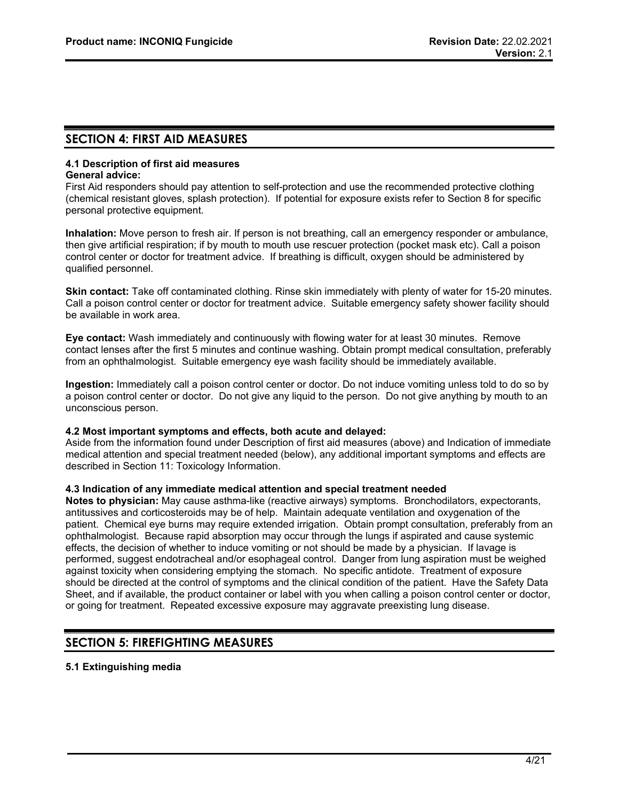# **SECTION 4: FIRST AID MEASURES**

#### **4.1 Description of first aid measures General advice:**

First Aid responders should pay attention to self-protection and use the recommended protective clothing (chemical resistant gloves, splash protection). If potential for exposure exists refer to Section 8 for specific personal protective equipment.

**Inhalation:** Move person to fresh air. If person is not breathing, call an emergency responder or ambulance, then give artificial respiration; if by mouth to mouth use rescuer protection (pocket mask etc). Call a poison control center or doctor for treatment advice. If breathing is difficult, oxygen should be administered by qualified personnel.

**Skin contact:** Take off contaminated clothing. Rinse skin immediately with plenty of water for 15-20 minutes. Call a poison control center or doctor for treatment advice. Suitable emergency safety shower facility should be available in work area.

**Eye contact:** Wash immediately and continuously with flowing water for at least 30 minutes. Remove contact lenses after the first 5 minutes and continue washing. Obtain prompt medical consultation, preferably from an ophthalmologist. Suitable emergency eye wash facility should be immediately available.

**Ingestion:** Immediately call a poison control center or doctor. Do not induce vomiting unless told to do so by a poison control center or doctor. Do not give any liquid to the person. Do not give anything by mouth to an unconscious person.

# **4.2 Most important symptoms and effects, both acute and delayed:**

Aside from the information found under Description of first aid measures (above) and Indication of immediate medical attention and special treatment needed (below), any additional important symptoms and effects are described in Section 11: Toxicology Information.

# **4.3 Indication of any immediate medical attention and special treatment needed**

**Notes to physician:** May cause asthma-like (reactive airways) symptoms. Bronchodilators, expectorants, antitussives and corticosteroids may be of help. Maintain adequate ventilation and oxygenation of the patient. Chemical eye burns may require extended irrigation. Obtain prompt consultation, preferably from an ophthalmologist. Because rapid absorption may occur through the lungs if aspirated and cause systemic effects, the decision of whether to induce vomiting or not should be made by a physician. If lavage is performed, suggest endotracheal and/or esophageal control. Danger from lung aspiration must be weighed against toxicity when considering emptying the stomach. No specific antidote. Treatment of exposure should be directed at the control of symptoms and the clinical condition of the patient. Have the Safety Data Sheet, and if available, the product container or label with you when calling a poison control center or doctor, or going for treatment. Repeated excessive exposure may aggravate preexisting lung disease.

# **SECTION 5: FIREFIGHTING MEASURES**

# **5.1 Extinguishing media**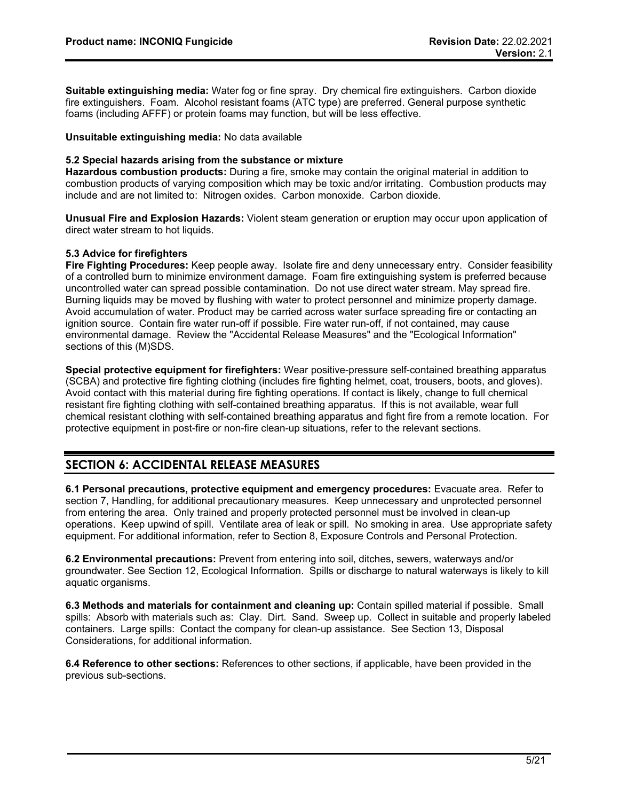**Suitable extinguishing media:** Water fog or fine spray. Dry chemical fire extinguishers. Carbon dioxide fire extinguishers. Foam. Alcohol resistant foams (ATC type) are preferred. General purpose synthetic foams (including AFFF) or protein foams may function, but will be less effective.

**Unsuitable extinguishing media:** No data available

# **5.2 Special hazards arising from the substance or mixture**

**Hazardous combustion products:** During a fire, smoke may contain the original material in addition to combustion products of varying composition which may be toxic and/or irritating. Combustion products may include and are not limited to: Nitrogen oxides. Carbon monoxide. Carbon dioxide.

**Unusual Fire and Explosion Hazards:** Violent steam generation or eruption may occur upon application of direct water stream to hot liquids.

# **5.3 Advice for firefighters**

**Fire Fighting Procedures:** Keep people away. Isolate fire and deny unnecessary entry. Consider feasibility of a controlled burn to minimize environment damage. Foam fire extinguishing system is preferred because uncontrolled water can spread possible contamination. Do not use direct water stream. May spread fire. Burning liquids may be moved by flushing with water to protect personnel and minimize property damage. Avoid accumulation of water. Product may be carried across water surface spreading fire or contacting an ignition source. Contain fire water run-off if possible. Fire water run-off, if not contained, may cause environmental damage. Review the "Accidental Release Measures" and the "Ecological Information" sections of this (M)SDS.

**Special protective equipment for firefighters:** Wear positive-pressure self-contained breathing apparatus (SCBA) and protective fire fighting clothing (includes fire fighting helmet, coat, trousers, boots, and gloves). Avoid contact with this material during fire fighting operations. If contact is likely, change to full chemical resistant fire fighting clothing with self-contained breathing apparatus. If this is not available, wear full chemical resistant clothing with self-contained breathing apparatus and fight fire from a remote location. For protective equipment in post-fire or non-fire clean-up situations, refer to the relevant sections.

# **SECTION 6: ACCIDENTAL RELEASE MEASURES**

**6.1 Personal precautions, protective equipment and emergency procedures:** Evacuate area. Refer to section 7, Handling, for additional precautionary measures. Keep unnecessary and unprotected personnel from entering the area. Only trained and properly protected personnel must be involved in clean-up operations. Keep upwind of spill. Ventilate area of leak or spill. No smoking in area. Use appropriate safety equipment. For additional information, refer to Section 8, Exposure Controls and Personal Protection.

**6.2 Environmental precautions:** Prevent from entering into soil, ditches, sewers, waterways and/or groundwater. See Section 12, Ecological Information. Spills or discharge to natural waterways is likely to kill aquatic organisms.

**6.3 Methods and materials for containment and cleaning up:** Contain spilled material if possible. Small spills: Absorb with materials such as: Clay. Dirt. Sand. Sweep up. Collect in suitable and properly labeled containers. Large spills: Contact the company for clean-up assistance. See Section 13, Disposal Considerations, for additional information.

**6.4 Reference to other sections:** References to other sections, if applicable, have been provided in the previous sub-sections.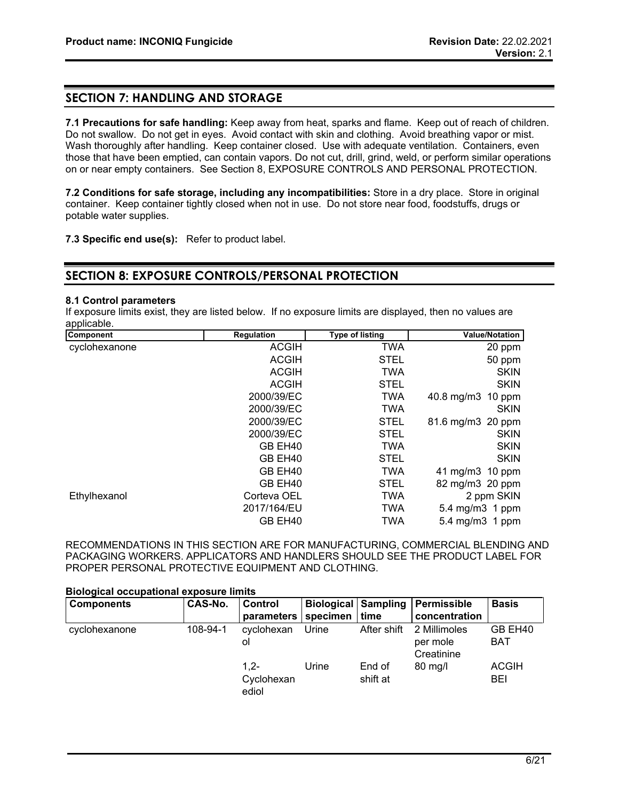# **SECTION 7: HANDLING AND STORAGE**

**7.1 Precautions for safe handling:** Keep away from heat, sparks and flame. Keep out of reach of children. Do not swallow. Do not get in eyes. Avoid contact with skin and clothing. Avoid breathing vapor or mist. Wash thoroughly after handling. Keep container closed. Use with adequate ventilation. Containers, even those that have been emptied, can contain vapors. Do not cut, drill, grind, weld, or perform similar operations on or near empty containers. See Section 8, EXPOSURE CONTROLS AND PERSONAL PROTECTION.

**7.2 Conditions for safe storage, including any incompatibilities:** Store in a dry place. Store in original container. Keep container tightly closed when not in use. Do not store near food, foodstuffs, drugs or potable water supplies.

**7.3 Specific end use(s):** Refer to product label.

# **SECTION 8: EXPOSURE CONTROLS/PERSONAL PROTECTION**

# **8.1 Control parameters**

If exposure limits exist, they are listed below. If no exposure limits are displayed, then no values are applicable.

| Component     | <b>Regulation</b> | <b>Type of listing</b> | <b>Value/Notation</b> |
|---------------|-------------------|------------------------|-----------------------|
| cyclohexanone | <b>ACGIH</b>      | <b>TWA</b>             | 20 ppm                |
|               | <b>ACGIH</b>      | <b>STEL</b>            | 50 ppm                |
|               | <b>ACGIH</b>      | <b>TWA</b>             | <b>SKIN</b>           |
|               | <b>ACGIH</b>      | <b>STEL</b>            | <b>SKIN</b>           |
|               | 2000/39/EC        | <b>TWA</b>             | 40.8 mg/m3 10 ppm     |
|               | 2000/39/EC        | <b>TWA</b>             | <b>SKIN</b>           |
|               | 2000/39/EC        | <b>STEL</b>            | 81.6 mg/m3 20 ppm     |
|               | 2000/39/EC        | <b>STEL</b>            | <b>SKIN</b>           |
|               | GB EH40           | <b>TWA</b>             | <b>SKIN</b>           |
|               | GB EH40           | <b>STEL</b>            | <b>SKIN</b>           |
|               | GB EH40           | <b>TWA</b>             | 41 mg/m3 10 ppm       |
|               | GB EH40           | <b>STEL</b>            | 82 mg/m3 20 ppm       |
| Ethylhexanol  | Corteva OEL       | <b>TWA</b>             | 2 ppm SKIN            |
|               | 2017/164/EU       | <b>TWA</b>             | 5.4 mg/m3 1 ppm       |
|               | GB EH40           | TWA                    | 5.4 mg/m3 1 ppm       |

RECOMMENDATIONS IN THIS SECTION ARE FOR MANUFACTURING, COMMERCIAL BLENDING AND PACKAGING WORKERS. APPLICATORS AND HANDLERS SHOULD SEE THE PRODUCT LABEL FOR PROPER PERSONAL PROTECTIVE EQUIPMENT AND CLOTHING.

#### **Biological occupational exposure limits**

| <b>Components</b> | CAS-No.  | <b>Control</b><br>parameters   | specimen | <b>Biological Sampling</b><br>time | Permissible<br>concentration           | <b>Basis</b>          |
|-------------------|----------|--------------------------------|----------|------------------------------------|----------------------------------------|-----------------------|
| cyclohexanone     | 108-94-1 | cyclohexan<br>ol               | Urine    | After shift                        | 2 Millimoles<br>per mole<br>Creatinine | GB EH40<br><b>BAT</b> |
|                   |          | $1.2 -$<br>Cyclohexan<br>ediol | Urine    | End of<br>shift at                 | $80 \text{ mg/l}$                      | <b>ACGIH</b><br>BEI   |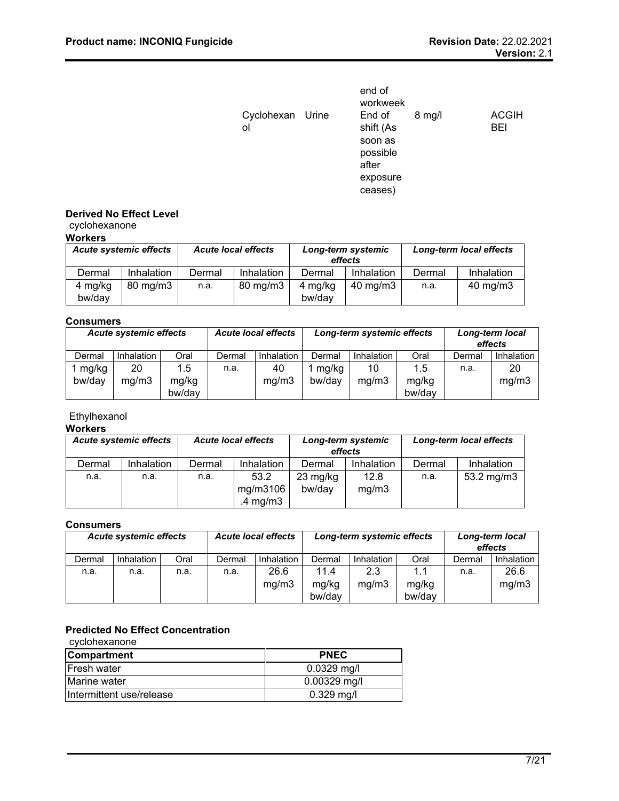|                        | end of<br>workweek  |          |                            |
|------------------------|---------------------|----------|----------------------------|
| Cyclohexan Urine<br>ol | End of<br>shift (As | $8$ mg/l | <b>ACGIH</b><br><b>BEI</b> |
|                        |                     |          |                            |
|                        | soon as             |          |                            |
|                        | possible            |          |                            |
|                        | after               |          |                            |
|                        | exposure            |          |                            |
|                        | ceases)             |          |                            |

# **Derived No Effect Level**

# cyclohexanone

| Workers |  |
|---------|--|
|---------|--|

| <b>Acute systemic effects</b> |                     | <b>Acute local effects</b> |                     | Long-term systemic<br>effects |                   | Long-term local effects |            |
|-------------------------------|---------------------|----------------------------|---------------------|-------------------------------|-------------------|-------------------------|------------|
| Dermal                        | Inhalation          | Dermal                     | Inhalation          | Dermal                        | Inhalation        | Dermal                  | Inhalation |
| 4 mg/kg<br>bw/day             | $80 \text{ mg/m}$ 3 | n.a.                       | $80 \text{ mg/m}$ 3 | 4 mg/kg<br>bw/dav             | $40 \text{ mg/m}$ | n.a.                    | 40 mg/m3   |

# **Consumers**

|        |            | <b>Acute local effects</b><br><b>Acute systemic effects</b> |        |            | Long-term systemic effects |            |        | Long-term local<br>effects |            |
|--------|------------|-------------------------------------------------------------|--------|------------|----------------------------|------------|--------|----------------------------|------------|
| Dermal | Inhalation | Oral                                                        | Dermal | Inhalation | Dermal                     | Inhalation | Oral   | Dermal                     | Inhalation |
| mg/kg  | 20         | 1.5                                                         | n.a.   | 40         | mg/kg                      | 10         | 1.5    | n.a.                       | 20         |
| bw/day | mg/m3      | mg/kg                                                       |        | mg/m3      | bw/day                     | mg/m3      | mg/kg  |                            | mg/m3      |
|        |            | bw/day                                                      |        |            |                            |            | bw/day |                            |            |

# Ethylhexanol

# **Workers**

| <b>Acute systemic effects</b> |            | <b>Acute local effects</b> |             | Long-term systemic<br>effects |            | Long-term local effects |              |
|-------------------------------|------------|----------------------------|-------------|-------------------------------|------------|-------------------------|--------------|
| Dermal                        | Inhalation | Dermal                     | Inhalation  | Dermal                        | Inhalation | Dermal                  | Inhalation   |
| n.a.                          | n.a.       | n.a.                       | 53.2        | $23 \text{ mg/kg}$            | 12.8       | n.a.                    | 53.2 $mg/m3$ |
|                               |            |                            | mg/m3106    | bw/dav                        | mg/m3      |                         |              |
|                               |            |                            | .4 mg/m $3$ |                               |            |                         |              |

# **Consumers**

| <b>Acute local effects</b><br><b>Acute systemic effects</b> |            |      | Long-term systemic effects |                   |        | Long-term local<br>effects |        |        |            |
|-------------------------------------------------------------|------------|------|----------------------------|-------------------|--------|----------------------------|--------|--------|------------|
| Dermal                                                      | Inhalation | Oral | Dermal                     | <b>Inhalation</b> | Dermal | Inhalation                 | Oral   | Dermal | Inhalation |
| n.a.                                                        | n.a.       | n.a. | n.a.                       | 26.6              | 11.4   | 2.3                        | 1.1    | n.a.   | 26.6       |
|                                                             |            |      |                            | mg/m3             | mg/kg  | mg/m3                      | mg/kg  |        | mg/m3      |
|                                                             |            |      |                            |                   | bw/day |                            | bw/day |        |            |

# **Predicted No Effect Concentration**

| cyclohexanone            |                |
|--------------------------|----------------|
| <b>Compartment</b>       | <b>PNEC</b>    |
| <b>Fresh water</b>       | $0.0329$ mg/l  |
| Marine water             | $0.00329$ mg/l |
| Intermittent use/release | $0.329$ mg/l   |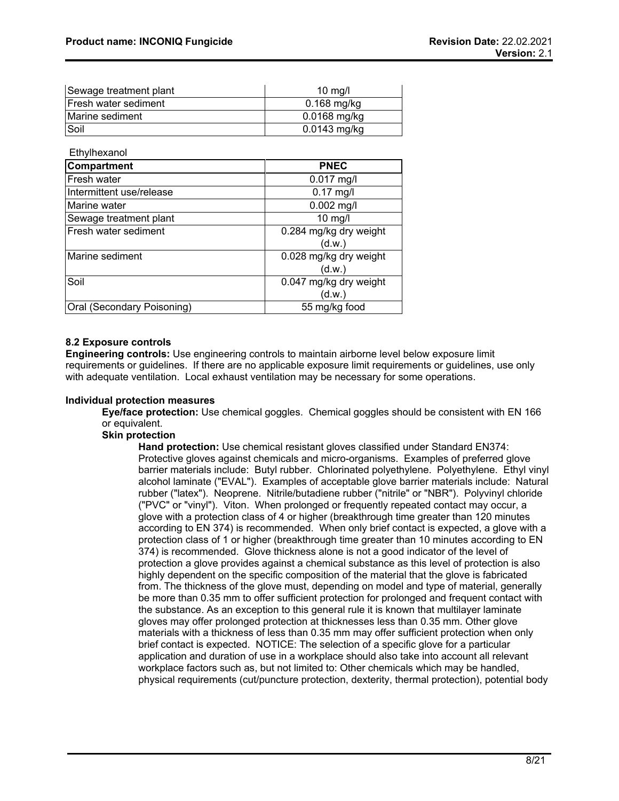| Sewage treatment plant       | 10 mg/l        |
|------------------------------|----------------|
| <b>IFresh water sediment</b> | $0.168$ mg/kg  |
| Marine sediment              | $0.0168$ mg/kg |
| Soil                         | 0.0143 mg/kg   |

**Ethylhexanol** 

| <b>Compartment</b>         | <b>PNEC</b>                      |
|----------------------------|----------------------------------|
| Fresh water                | $0.017$ mg/l                     |
| Intermittent use/release   | $0.17$ mg/l                      |
| Marine water               | $0.002$ mg/l                     |
| Sewage treatment plant     | $10$ mg/l                        |
| Fresh water sediment       | 0.284 mg/kg dry weight<br>(d.w.) |
| Marine sediment            | 0.028 mg/kg dry weight<br>(d.w.) |
| Soil                       | 0.047 mg/kg dry weight<br>(d.w.) |
| Oral (Secondary Poisoning) | 55 mg/kg food                    |

# **8.2 Exposure controls**

**Engineering controls:** Use engineering controls to maintain airborne level below exposure limit requirements or guidelines. If there are no applicable exposure limit requirements or guidelines, use only with adequate ventilation. Local exhaust ventilation may be necessary for some operations.

# **Individual protection measures**

**Eye/face protection:** Use chemical goggles. Chemical goggles should be consistent with EN 166 or equivalent.

# **Skin protection**

**Hand protection:** Use chemical resistant gloves classified under Standard EN374: Protective gloves against chemicals and micro-organisms. Examples of preferred glove barrier materials include: Butyl rubber. Chlorinated polyethylene. Polyethylene. Ethyl vinyl alcohol laminate ("EVAL"). Examples of acceptable glove barrier materials include: Natural rubber ("latex"). Neoprene. Nitrile/butadiene rubber ("nitrile" or "NBR"). Polyvinyl chloride ("PVC" or "vinyl"). Viton. When prolonged or frequently repeated contact may occur, a glove with a protection class of 4 or higher (breakthrough time greater than 120 minutes according to EN 374) is recommended. When only brief contact is expected, a glove with a protection class of 1 or higher (breakthrough time greater than 10 minutes according to EN 374) is recommended. Glove thickness alone is not a good indicator of the level of protection a glove provides against a chemical substance as this level of protection is also highly dependent on the specific composition of the material that the glove is fabricated from. The thickness of the glove must, depending on model and type of material, generally be more than 0.35 mm to offer sufficient protection for prolonged and frequent contact with the substance. As an exception to this general rule it is known that multilayer laminate gloves may offer prolonged protection at thicknesses less than 0.35 mm. Other glove materials with a thickness of less than 0.35 mm may offer sufficient protection when only brief contact is expected. NOTICE: The selection of a specific glove for a particular application and duration of use in a workplace should also take into account all relevant workplace factors such as, but not limited to: Other chemicals which may be handled, physical requirements (cut/puncture protection, dexterity, thermal protection), potential body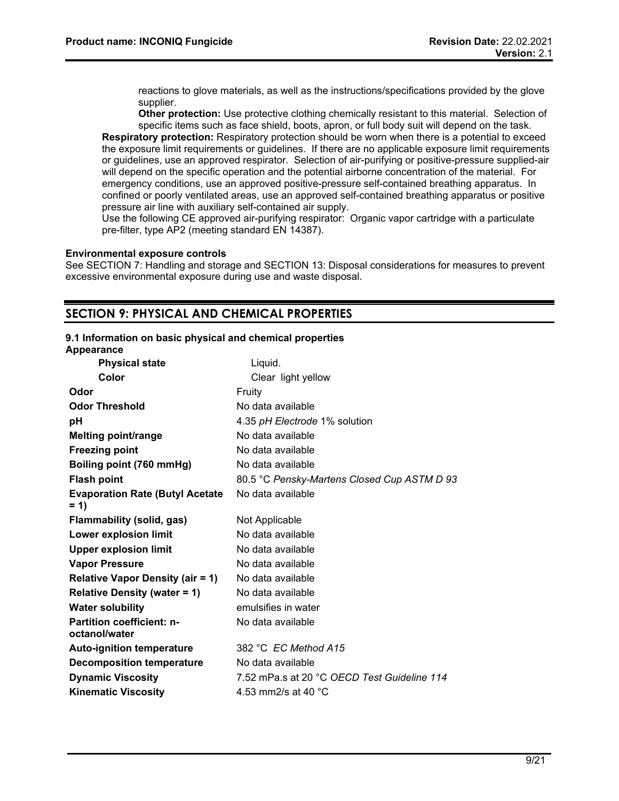reactions to glove materials, as well as the instructions/specifications provided by the glove supplier.

**Other protection:** Use protective clothing chemically resistant to this material. Selection of specific items such as face shield, boots, apron, or full body suit will depend on the task.

**Respiratory protection:** Respiratory protection should be worn when there is a potential to exceed the exposure limit requirements or guidelines. If there are no applicable exposure limit requirements or guidelines, use an approved respirator. Selection of air-purifying or positive-pressure supplied-air will depend on the specific operation and the potential airborne concentration of the material. For emergency conditions, use an approved positive-pressure self-contained breathing apparatus. In confined or poorly ventilated areas, use an approved self-contained breathing apparatus or positive pressure air line with auxiliary self-contained air supply.

Use the following CE approved air-purifying respirator: Organic vapor cartridge with a particulate pre-filter, type AP2 (meeting standard EN 14387).

#### **Environmental exposure controls**

See SECTION 7: Handling and storage and SECTION 13: Disposal considerations for measures to prevent excessive environmental exposure during use and waste disposal.

# **SECTION 9: PHYSICAL AND CHEMICAL PROPERTIES**

#### **9.1 Information on basic physical and chemical properties**

| Appearance                                        |                                             |
|---------------------------------------------------|---------------------------------------------|
| <b>Physical state</b>                             | Liquid.                                     |
| Color                                             | Clear light yellow                          |
| Odor                                              | Fruity                                      |
| <b>Odor Threshold</b>                             | No data available                           |
| рH                                                | 4.35 pH Electrode 1% solution               |
| <b>Melting point/range</b>                        | No data available                           |
| <b>Freezing point</b>                             | No data available                           |
| Boiling point (760 mmHg)                          | No data available                           |
| <b>Flash point</b>                                | 80.5 °C Pensky-Martens Closed Cup ASTM D 93 |
| <b>Evaporation Rate (Butyl Acetate</b><br>$= 1$   | No data available                           |
| Flammability (solid, gas)                         | Not Applicable                              |
| Lower explosion limit                             | No data available                           |
| <b>Upper explosion limit</b>                      | No data available                           |
| <b>Vapor Pressure</b>                             | No data available                           |
| <b>Relative Vapor Density (air = 1)</b>           | No data available                           |
| <b>Relative Density (water = 1)</b>               | No data available                           |
| <b>Water solubility</b>                           | emulsifies in water                         |
| <b>Partition coefficient: n-</b><br>octanol/water | No data available                           |
| <b>Auto-ignition temperature</b>                  | 382 °C EC Method A15                        |
| <b>Decomposition temperature</b>                  | No data available                           |
| <b>Dynamic Viscosity</b>                          | 7.52 mPa.s at 20 °C OECD Test Guideline 114 |
| <b>Kinematic Viscosity</b>                        | 4.53 mm2/s at 40 °C                         |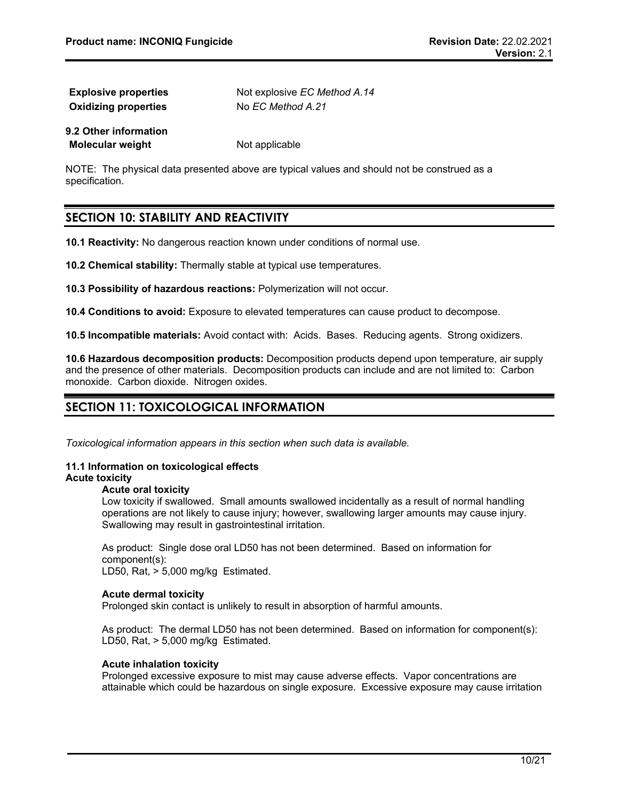| <b>Explosive properties</b> | Not explosive <i>EC Method A.14</i> |
|-----------------------------|-------------------------------------|
| <b>Oxidizing properties</b> | No EC Method A.21                   |
| 9.2 Other information       |                                     |
| Molecular weight            | Not applicable                      |

NOTE: The physical data presented above are typical values and should not be construed as a specification.

# **SECTION 10: STABILITY AND REACTIVITY**

**10.1 Reactivity:** No dangerous reaction known under conditions of normal use.

**10.2 Chemical stability:** Thermally stable at typical use temperatures.

**10.3 Possibility of hazardous reactions:** Polymerization will not occur.

**10.4 Conditions to avoid:** Exposure to elevated temperatures can cause product to decompose.

**10.5 Incompatible materials:** Avoid contact with: Acids. Bases. Reducing agents. Strong oxidizers.

**10.6 Hazardous decomposition products:** Decomposition products depend upon temperature, air supply and the presence of other materials. Decomposition products can include and are not limited to: Carbon monoxide. Carbon dioxide. Nitrogen oxides.

# **SECTION 11: TOXICOLOGICAL INFORMATION**

*Toxicological information appears in this section when such data is available.*

#### **11.1 Information on toxicological effects Acute toxicity**

# **Acute oral toxicity**

Low toxicity if swallowed. Small amounts swallowed incidentally as a result of normal handling operations are not likely to cause injury; however, swallowing larger amounts may cause injury. Swallowing may result in gastrointestinal irritation.

As product: Single dose oral LD50 has not been determined. Based on information for component(s):

LD50, Rat, > 5,000 mg/kg Estimated.

# **Acute dermal toxicity**

Prolonged skin contact is unlikely to result in absorption of harmful amounts.

As product: The dermal LD50 has not been determined. Based on information for component(s): LD50, Rat, > 5,000 mg/kg Estimated.

# **Acute inhalation toxicity**

Prolonged excessive exposure to mist may cause adverse effects. Vapor concentrations are attainable which could be hazardous on single exposure. Excessive exposure may cause irritation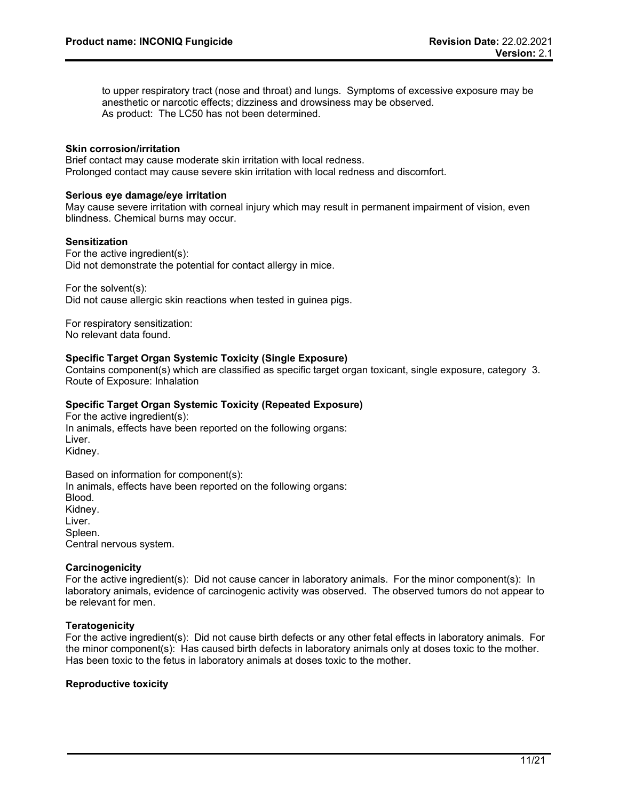to upper respiratory tract (nose and throat) and lungs. Symptoms of excessive exposure may be anesthetic or narcotic effects; dizziness and drowsiness may be observed. As product: The LC50 has not been determined.

# **Skin corrosion/irritation**

Brief contact may cause moderate skin irritation with local redness. Prolonged contact may cause severe skin irritation with local redness and discomfort.

# **Serious eye damage/eye irritation**

May cause severe irritation with corneal injury which may result in permanent impairment of vision, even blindness. Chemical burns may occur.

# **Sensitization**

For the active ingredient(s): Did not demonstrate the potential for contact allergy in mice.

For the solvent(s):

Did not cause allergic skin reactions when tested in guinea pigs.

For respiratory sensitization: No relevant data found.

# **Specific Target Organ Systemic Toxicity (Single Exposure)**

Contains component(s) which are classified as specific target organ toxicant, single exposure, category 3. Route of Exposure: Inhalation

# **Specific Target Organ Systemic Toxicity (Repeated Exposure)**

For the active ingredient(s): In animals, effects have been reported on the following organs: Liver. Kidney.

Based on information for component(s): In animals, effects have been reported on the following organs: Blood. Kidney. Liver. Spleen. Central nervous system.

# **Carcinogenicity**

For the active ingredient(s): Did not cause cancer in laboratory animals. For the minor component(s): In laboratory animals, evidence of carcinogenic activity was observed. The observed tumors do not appear to be relevant for men.

# **Teratogenicity**

For the active ingredient(s): Did not cause birth defects or any other fetal effects in laboratory animals. For the minor component(s): Has caused birth defects in laboratory animals only at doses toxic to the mother. Has been toxic to the fetus in laboratory animals at doses toxic to the mother.

# **Reproductive toxicity**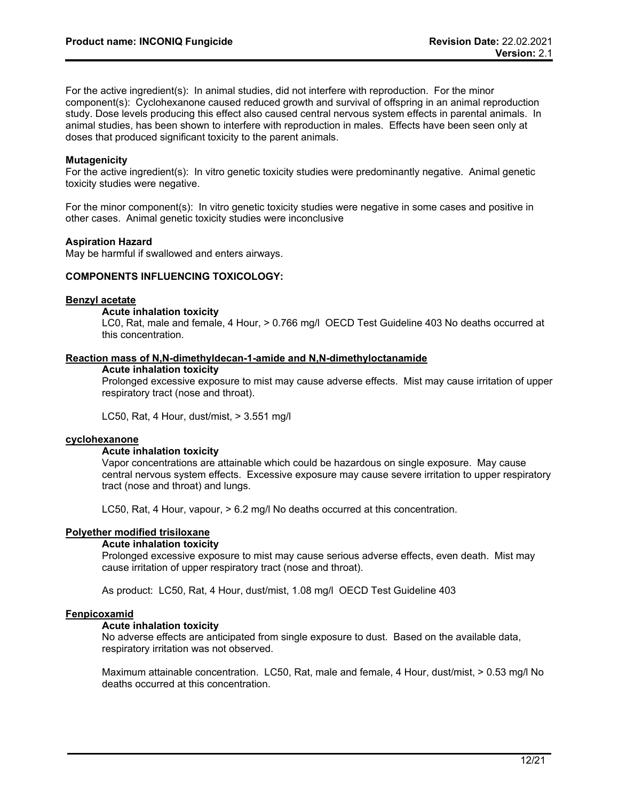For the active ingredient(s): In animal studies, did not interfere with reproduction. For the minor component(s): Cyclohexanone caused reduced growth and survival of offspring in an animal reproduction study. Dose levels producing this effect also caused central nervous system effects in parental animals. In animal studies, has been shown to interfere with reproduction in males. Effects have been seen only at doses that produced significant toxicity to the parent animals.

# **Mutagenicity**

For the active ingredient(s): In vitro genetic toxicity studies were predominantly negative. Animal genetic toxicity studies were negative.

For the minor component(s): In vitro genetic toxicity studies were negative in some cases and positive in other cases. Animal genetic toxicity studies were inconclusive

# **Aspiration Hazard**

May be harmful if swallowed and enters airways.

#### **COMPONENTS INFLUENCING TOXICOLOGY:**

# **Benzyl acetate**

#### **Acute inhalation toxicity**

LC0, Rat, male and female, 4 Hour, > 0.766 mg/l OECD Test Guideline 403 No deaths occurred at this concentration.

#### **Reaction mass of N,N-dimethyldecan-1-amide and N,N-dimethyloctanamide**

#### **Acute inhalation toxicity**

Prolonged excessive exposure to mist may cause adverse effects. Mist may cause irritation of upper respiratory tract (nose and throat).

LC50, Rat, 4 Hour, dust/mist, > 3.551 mg/l

#### **cyclohexanone**

#### **Acute inhalation toxicity**

Vapor concentrations are attainable which could be hazardous on single exposure. May cause central nervous system effects. Excessive exposure may cause severe irritation to upper respiratory tract (nose and throat) and lungs.

LC50, Rat, 4 Hour, vapour, > 6.2 mg/l No deaths occurred at this concentration.

# **Polyether modified trisiloxane**

#### **Acute inhalation toxicity**

Prolonged excessive exposure to mist may cause serious adverse effects, even death. Mist may cause irritation of upper respiratory tract (nose and throat).

As product: LC50, Rat, 4 Hour, dust/mist, 1.08 mg/l OECD Test Guideline 403

#### **Fenpicoxamid**

# **Acute inhalation toxicity**

No adverse effects are anticipated from single exposure to dust. Based on the available data, respiratory irritation was not observed.

Maximum attainable concentration. LC50, Rat, male and female, 4 Hour, dust/mist, > 0.53 mg/l No deaths occurred at this concentration.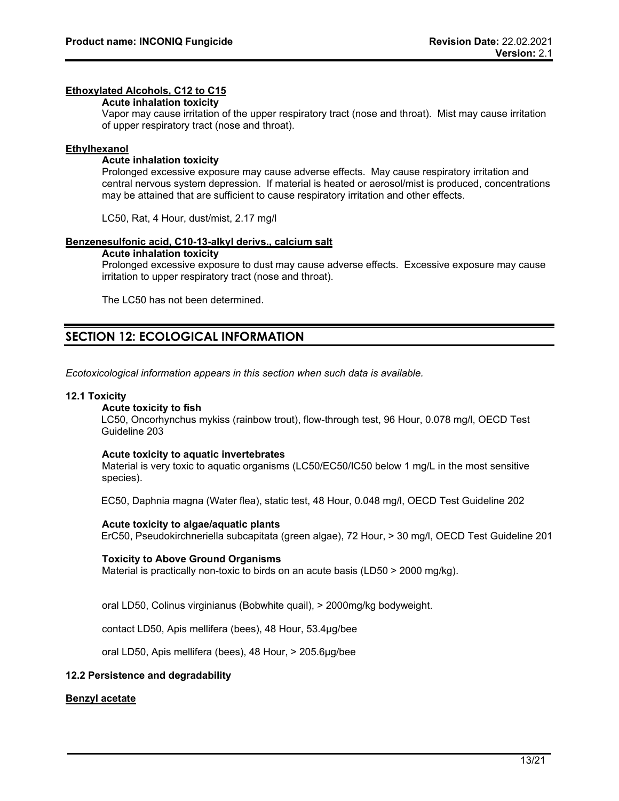#### **Ethoxylated Alcohols, C12 to C15**

#### **Acute inhalation toxicity**

Vapor may cause irritation of the upper respiratory tract (nose and throat). Mist may cause irritation of upper respiratory tract (nose and throat).

#### **Ethylhexanol**

#### **Acute inhalation toxicity**

Prolonged excessive exposure may cause adverse effects. May cause respiratory irritation and central nervous system depression. If material is heated or aerosol/mist is produced, concentrations may be attained that are sufficient to cause respiratory irritation and other effects.

LC50, Rat, 4 Hour, dust/mist, 2.17 mg/l

#### **Benzenesulfonic acid, C10-13-alkyl derivs., calcium salt**

#### **Acute inhalation toxicity**

Prolonged excessive exposure to dust may cause adverse effects. Excessive exposure may cause irritation to upper respiratory tract (nose and throat).

The LC50 has not been determined.

# **SECTION 12: ECOLOGICAL INFORMATION**

*Ecotoxicological information appears in this section when such data is available.*

#### **12.1 Toxicity**

#### **Acute toxicity to fish**

LC50, Oncorhynchus mykiss (rainbow trout), flow-through test, 96 Hour, 0.078 mg/l, OECD Test Guideline 203

#### **Acute toxicity to aquatic invertebrates**

Material is very toxic to aquatic organisms (LC50/EC50/IC50 below 1 mg/L in the most sensitive species).

EC50, Daphnia magna (Water flea), static test, 48 Hour, 0.048 mg/l, OECD Test Guideline 202

#### **Acute toxicity to algae/aquatic plants**

ErC50, Pseudokirchneriella subcapitata (green algae), 72 Hour, > 30 mg/l, OECD Test Guideline 201

#### **Toxicity to Above Ground Organisms**

Material is practically non-toxic to birds on an acute basis (LD50 > 2000 mg/kg).

oral LD50, Colinus virginianus (Bobwhite quail), > 2000mg/kg bodyweight.

contact LD50, Apis mellifera (bees), 48 Hour, 53.4µg/bee

oral LD50, Apis mellifera (bees), 48 Hour, > 205.6µg/bee

# **12.2 Persistence and degradability**

# **Benzyl acetate**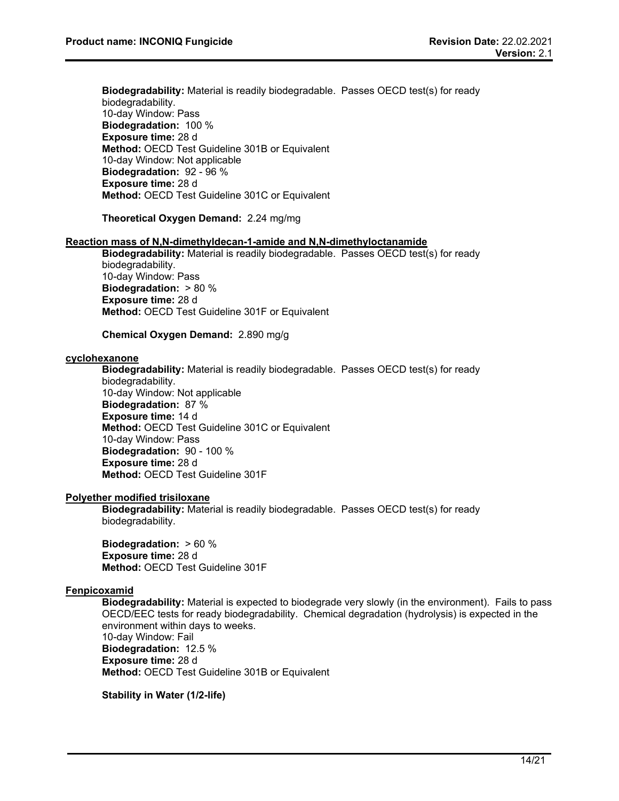**Biodegradability:** Material is readily biodegradable. Passes OECD test(s) for ready biodegradability. 10-day Window: Pass **Biodegradation:** 100 % **Exposure time:** 28 d **Method:** OECD Test Guideline 301B or Equivalent 10-day Window: Not applicable **Biodegradation:** 92 - 96 % **Exposure time:** 28 d **Method:** OECD Test Guideline 301C or Equivalent

**Theoretical Oxygen Demand:** 2.24 mg/mg

#### **Reaction mass of N,N-dimethyldecan-1-amide and N,N-dimethyloctanamide**

**Biodegradability:** Material is readily biodegradable. Passes OECD test(s) for ready biodegradability. 10-day Window: Pass **Biodegradation:** > 80 % **Exposure time:** 28 d **Method:** OECD Test Guideline 301F or Equivalent

# **Chemical Oxygen Demand:** 2.890 mg/g

#### **cyclohexanone**

**Biodegradability:** Material is readily biodegradable. Passes OECD test(s) for ready

biodegradability. 10-day Window: Not applicable **Biodegradation:** 87 % **Exposure time:** 14 d **Method:** OECD Test Guideline 301C or Equivalent 10-day Window: Pass **Biodegradation:** 90 - 100 % **Exposure time:** 28 d **Method:** OECD Test Guideline 301F

#### **Polyether modified trisiloxane**

**Biodegradability:** Material is readily biodegradable. Passes OECD test(s) for ready biodegradability.

**Biodegradation:** > 60 % **Exposure time:** 28 d **Method:** OECD Test Guideline 301F

# **Fenpicoxamid**

**Biodegradability:** Material is expected to biodegrade very slowly (in the environment). Fails to pass OECD/EEC tests for ready biodegradability. Chemical degradation (hydrolysis) is expected in the environment within days to weeks.

10-day Window: Fail **Biodegradation:** 12.5 % **Exposure time:** 28 d **Method:** OECD Test Guideline 301B or Equivalent

**Stability in Water (1/2-life)**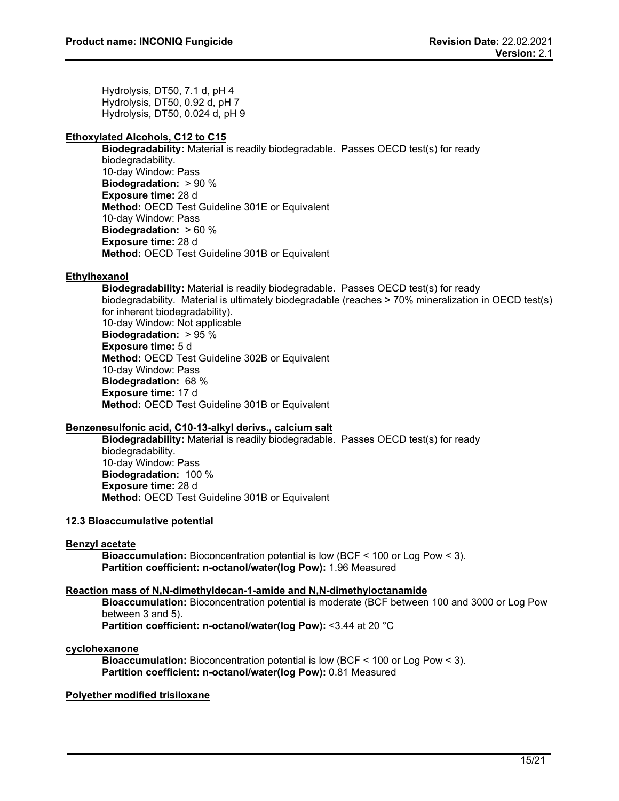Hydrolysis, DT50, 7.1 d, pH 4 Hydrolysis, DT50, 0.92 d, pH 7 Hydrolysis, DT50, 0.024 d, pH 9

# **Ethoxylated Alcohols, C12 to C15**

**Biodegradability:** Material is readily biodegradable. Passes OECD test(s) for ready biodegradability. 10-day Window: Pass **Biodegradation:** > 90 % **Exposure time:** 28 d **Method:** OECD Test Guideline 301E or Equivalent 10-day Window: Pass **Biodegradation:** > 60 % **Exposure time:** 28 d **Method:** OECD Test Guideline 301B or Equivalent

# **Ethylhexanol**

**Biodegradability:** Material is readily biodegradable. Passes OECD test(s) for ready biodegradability. Material is ultimately biodegradable (reaches > 70% mineralization in OECD test(s) for inherent biodegradability). 10-day Window: Not applicable **Biodegradation:** > 95 % **Exposure time:** 5 d **Method:** OECD Test Guideline 302B or Equivalent 10-day Window: Pass **Biodegradation:** 68 % **Exposure time:** 17 d **Method:** OECD Test Guideline 301B or Equivalent

# **Benzenesulfonic acid, C10-13-alkyl derivs., calcium salt**

**Biodegradability:** Material is readily biodegradable. Passes OECD test(s) for ready biodegradability. 10-day Window: Pass **Biodegradation:** 100 % **Exposure time:** 28 d **Method:** OECD Test Guideline 301B or Equivalent

# **12.3 Bioaccumulative potential**

# **Benzyl acetate**

**Bioaccumulation:** Bioconcentration potential is low (BCF < 100 or Log Pow < 3). **Partition coefficient: n-octanol/water(log Pow):** 1.96 Measured

# **Reaction mass of N,N-dimethyldecan-1-amide and N,N-dimethyloctanamide**

**Bioaccumulation:** Bioconcentration potential is moderate (BCF between 100 and 3000 or Log Pow between 3 and 5).

**Partition coefficient: n-octanol/water(log Pow):** <3.44 at 20 °C

# **cyclohexanone**

**Bioaccumulation:** Bioconcentration potential is low (BCF < 100 or Log Pow < 3). **Partition coefficient: n-octanol/water(log Pow):** 0.81 Measured

# **Polyether modified trisiloxane**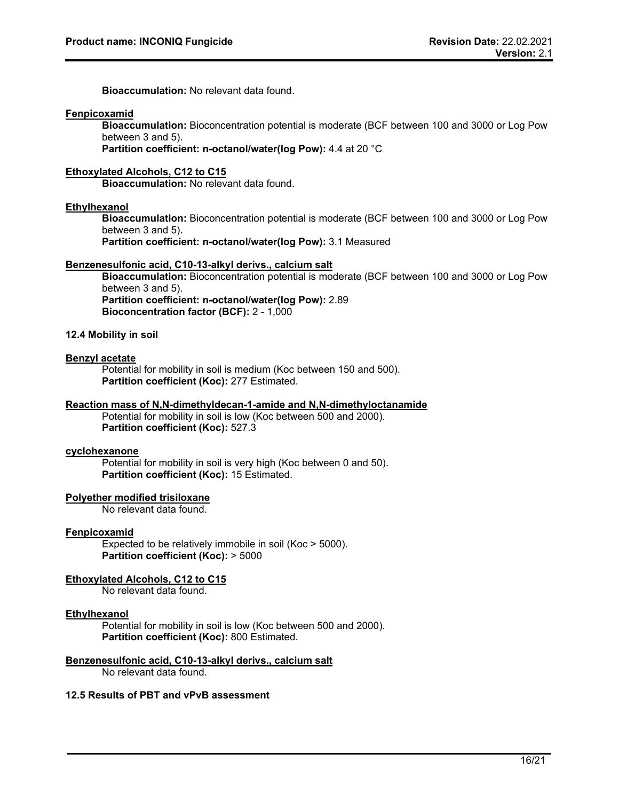**Bioaccumulation:** No relevant data found.

#### **Fenpicoxamid**

**Bioaccumulation:** Bioconcentration potential is moderate (BCF between 100 and 3000 or Log Pow between 3 and 5).

**Partition coefficient: n-octanol/water(log Pow):** 4.4 at 20 °C

# **Ethoxylated Alcohols, C12 to C15**

**Bioaccumulation:** No relevant data found.

#### **Ethylhexanol**

**Bioaccumulation:** Bioconcentration potential is moderate (BCF between 100 and 3000 or Log Pow between 3 and 5).

**Partition coefficient: n-octanol/water(log Pow):** 3.1 Measured

# **Benzenesulfonic acid, C10-13-alkyl derivs., calcium salt**

**Bioaccumulation:** Bioconcentration potential is moderate (BCF between 100 and 3000 or Log Pow between 3 and 5). **Partition coefficient: n-octanol/water(log Pow):** 2.89 **Bioconcentration factor (BCF):** 2 - 1,000

# **12.4 Mobility in soil**

# **Benzyl acetate**

Potential for mobility in soil is medium (Koc between 150 and 500). **Partition coefficient (Koc):** 277 Estimated.

#### **Reaction mass of N,N-dimethyldecan-1-amide and N,N-dimethyloctanamide**

Potential for mobility in soil is low (Koc between 500 and 2000). **Partition coefficient (Koc):** 527.3

# **cyclohexanone**

Potential for mobility in soil is very high (Koc between 0 and 50). **Partition coefficient (Koc):** 15 Estimated.

# **Polyether modified trisiloxane**

No relevant data found.

#### **Fenpicoxamid**

Expected to be relatively immobile in soil (Koc > 5000). **Partition coefficient (Koc):** > 5000

# **Ethoxylated Alcohols, C12 to C15**

No relevant data found.

#### **Ethylhexanol**

Potential for mobility in soil is low (Koc between 500 and 2000). **Partition coefficient (Koc):** 800 Estimated.

# **Benzenesulfonic acid, C10-13-alkyl derivs., calcium salt**

No relevant data found.

# **12.5 Results of PBT and vPvB assessment**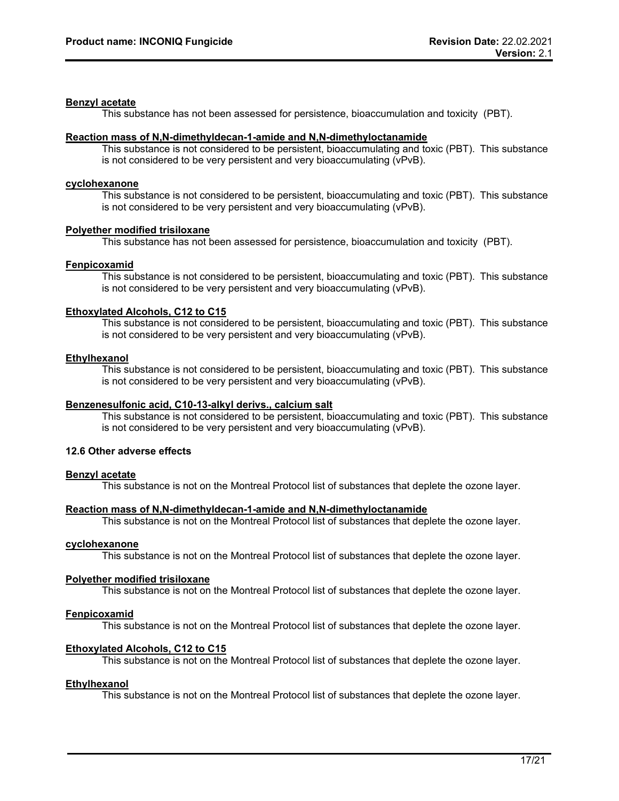# **Benzyl acetate**

This substance has not been assessed for persistence, bioaccumulation and toxicity (PBT).

#### **Reaction mass of N,N-dimethyldecan-1-amide and N,N-dimethyloctanamide**

This substance is not considered to be persistent, bioaccumulating and toxic (PBT). This substance is not considered to be very persistent and very bioaccumulating (vPvB).

#### **cyclohexanone**

This substance is not considered to be persistent, bioaccumulating and toxic (PBT). This substance is not considered to be very persistent and very bioaccumulating (vPvB).

#### **Polyether modified trisiloxane**

This substance has not been assessed for persistence, bioaccumulation and toxicity (PBT).

# **Fenpicoxamid**

This substance is not considered to be persistent, bioaccumulating and toxic (PBT). This substance is not considered to be very persistent and very bioaccumulating (vPvB).

# **Ethoxylated Alcohols, C12 to C15**

This substance is not considered to be persistent, bioaccumulating and toxic (PBT). This substance is not considered to be very persistent and very bioaccumulating (vPvB).

#### **Ethylhexanol**

This substance is not considered to be persistent, bioaccumulating and toxic (PBT). This substance is not considered to be very persistent and very bioaccumulating (vPvB).

#### **Benzenesulfonic acid, C10-13-alkyl derivs., calcium salt**

This substance is not considered to be persistent, bioaccumulating and toxic (PBT). This substance is not considered to be very persistent and very bioaccumulating (vPvB).

# **12.6 Other adverse effects**

# **Benzyl acetate**

This substance is not on the Montreal Protocol list of substances that deplete the ozone layer.

#### **Reaction mass of N,N-dimethyldecan-1-amide and N,N-dimethyloctanamide**

This substance is not on the Montreal Protocol list of substances that deplete the ozone layer.

#### **cyclohexanone**

This substance is not on the Montreal Protocol list of substances that deplete the ozone layer.

# **Polyether modified trisiloxane**

This substance is not on the Montreal Protocol list of substances that deplete the ozone layer.

# **Fenpicoxamid**

This substance is not on the Montreal Protocol list of substances that deplete the ozone layer.

# **Ethoxylated Alcohols, C12 to C15**

This substance is not on the Montreal Protocol list of substances that deplete the ozone layer.

# **Ethylhexanol**

This substance is not on the Montreal Protocol list of substances that deplete the ozone layer.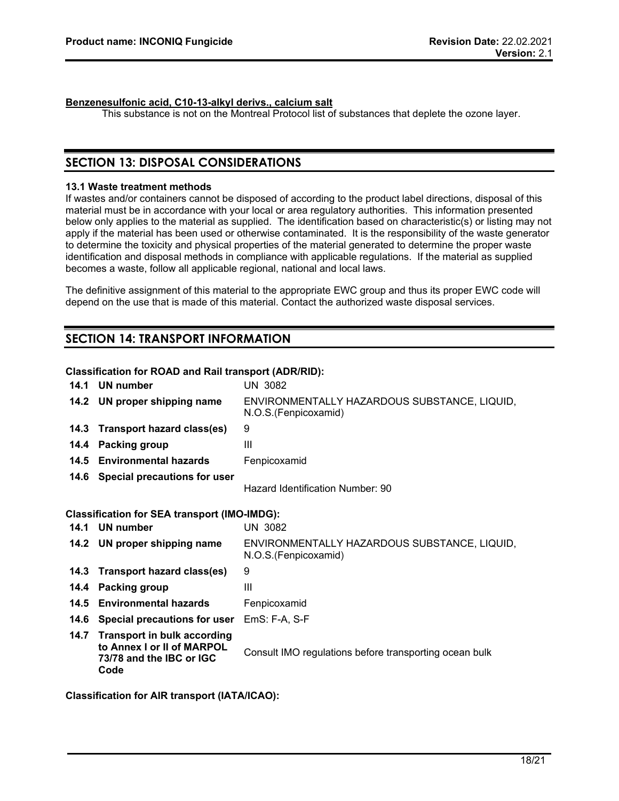# **Benzenesulfonic acid, C10-13-alkyl derivs., calcium salt**

This substance is not on the Montreal Protocol list of substances that deplete the ozone layer.

# **SECTION 13: DISPOSAL CONSIDERATIONS**

# **13.1 Waste treatment methods**

If wastes and/or containers cannot be disposed of according to the product label directions, disposal of this material must be in accordance with your local or area regulatory authorities. This information presented below only applies to the material as supplied. The identification based on characteristic(s) or listing may not apply if the material has been used or otherwise contaminated. It is the responsibility of the waste generator to determine the toxicity and physical properties of the material generated to determine the proper waste identification and disposal methods in compliance with applicable regulations. If the material as supplied becomes a waste, follow all applicable regional, national and local laws.

The definitive assignment of this material to the appropriate EWC group and thus its proper EWC code will depend on the use that is made of this material. Contact the authorized waste disposal services.

# **SECTION 14: TRANSPORT INFORMATION**

# **Classification for ROAD and Rail transport (ADR/RID):**

| 14.1                                                | UN number                                                                                            | UN 3082                                                              |
|-----------------------------------------------------|------------------------------------------------------------------------------------------------------|----------------------------------------------------------------------|
|                                                     | 14.2 UN proper shipping name                                                                         | ENVIRONMENTALLY HAZARDOUS SUBSTANCE, LIQUID,<br>N.O.S.(Fenpicoxamid) |
| 14.3                                                | Transport hazard class(es)                                                                           | 9                                                                    |
| 14.4                                                | <b>Packing group</b>                                                                                 | III                                                                  |
| 14.5                                                | <b>Environmental hazards</b>                                                                         | Fenpicoxamid                                                         |
| 14.6                                                | Special precautions for user                                                                         | Hazard Identification Number: 90                                     |
| <b>Classification for SEA transport (IMO-IMDG):</b> |                                                                                                      |                                                                      |
| 14.1                                                | UN number                                                                                            | <b>UN 3082</b>                                                       |
|                                                     | 14.2 UN proper shipping name                                                                         | ENVIRONMENTALLY HAZARDOUS SUBSTANCE, LIQUID,<br>N.O.S.(Fenpicoxamid) |
| 14.3                                                | Transport hazard class(es)                                                                           | 9                                                                    |
| 14.4                                                | <b>Packing group</b>                                                                                 | Ш                                                                    |
| 14.5                                                | <b>Environmental hazards</b>                                                                         | Fenpicoxamid                                                         |
| 14.6                                                | Special precautions for user                                                                         | $EmS: F-A, S-F$                                                      |
| 14.7                                                | <b>Transport in bulk according</b><br>to Annex I or II of MARPOL<br>73/78 and the IBC or IGC<br>Code | Consult IMO regulations before transporting ocean bulk               |

**Classification for AIR transport (IATA/ICAO):**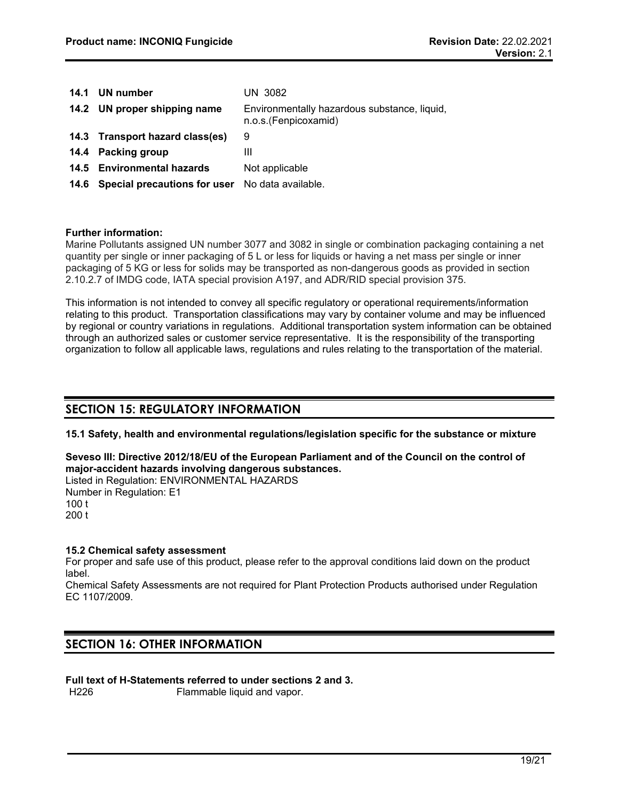| 14.1 UN number                                       | UN 3082                                                              |
|------------------------------------------------------|----------------------------------------------------------------------|
| 14.2 UN proper shipping name                         | Environmentally hazardous substance, liquid,<br>n.o.s.(Fenpicoxamid) |
| 14.3 Transport hazard class(es)                      | 9                                                                    |
| 14.4 Packing group                                   | Ш                                                                    |
| 14.5 Environmental hazards                           | Not applicable                                                       |
| 14.6 Special precautions for user No data available. |                                                                      |

# **Further information:**

Marine Pollutants assigned UN number 3077 and 3082 in single or combination packaging containing a net quantity per single or inner packaging of 5 L or less for liquids or having a net mass per single or inner packaging of 5 KG or less for solids may be transported as non-dangerous goods as provided in section 2.10.2.7 of IMDG code, IATA special provision A197, and ADR/RID special provision 375.

This information is not intended to convey all specific regulatory or operational requirements/information relating to this product. Transportation classifications may vary by container volume and may be influenced by regional or country variations in regulations. Additional transportation system information can be obtained through an authorized sales or customer service representative. It is the responsibility of the transporting organization to follow all applicable laws, regulations and rules relating to the transportation of the material.

# **SECTION 15: REGULATORY INFORMATION**

**15.1 Safety, health and environmental regulations/legislation specific for the substance or mixture**

**Seveso III: Directive 2012/18/EU of the European Parliament and of the Council on the control of major-accident hazards involving dangerous substances.**

Listed in Regulation: ENVIRONMENTAL HAZARDS Number in Regulation: E1 100 t 200 t

# **15.2 Chemical safety assessment**

For proper and safe use of this product, please refer to the approval conditions laid down on the product label.

Chemical Safety Assessments are not required for Plant Protection Products authorised under Regulation EC 1107/2009.

# **SECTION 16: OTHER INFORMATION**

**Full text of H-Statements referred to under sections 2 and 3.**

Flammable liquid and vapor.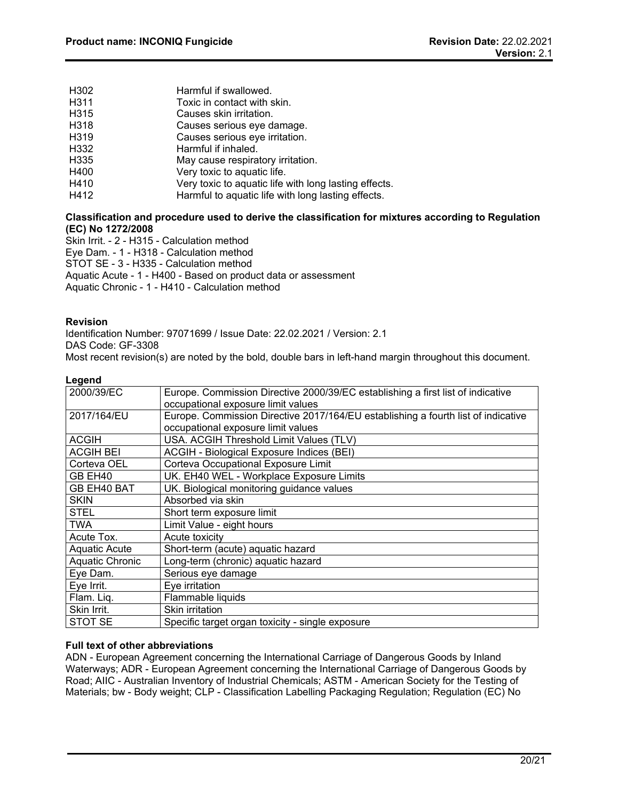| H302 | Harmful if swallowed.                                 |
|------|-------------------------------------------------------|
| H311 | Toxic in contact with skin.                           |
| H315 | Causes skin irritation.                               |
| H318 | Causes serious eye damage.                            |
| H319 | Causes serious eye irritation.                        |
| H332 | Harmful if inhaled.                                   |
| H335 | May cause respiratory irritation.                     |
| H400 | Very toxic to aquatic life.                           |
| H410 | Very toxic to aquatic life with long lasting effects. |
| H412 | Harmful to aquatic life with long lasting effects.    |

# **Classification and procedure used to derive the classification for mixtures according to Regulation (EC) No 1272/2008**

Skin Irrit. - 2 - H315 - Calculation method

Eye Dam. - 1 - H318 - Calculation method

STOT SE - 3 - H335 - Calculation method

Aquatic Acute - 1 - H400 - Based on product data or assessment

Aquatic Chronic - 1 - H410 - Calculation method

# **Revision**

Identification Number: 97071699 / Issue Date: 22.02.2021 / Version: 2.1 DAS Code: GF-3308

Most recent revision(s) are noted by the bold, double bars in left-hand margin throughout this document.

# **Legend**

| 2000/39/EC       | Europe. Commission Directive 2000/39/EC establishing a first list of indicative   |
|------------------|-----------------------------------------------------------------------------------|
|                  | occupational exposure limit values                                                |
|                  |                                                                                   |
| 2017/164/EU      | Europe. Commission Directive 2017/164/EU establishing a fourth list of indicative |
|                  | occupational exposure limit values                                                |
| <b>ACGIH</b>     | USA. ACGIH Threshold Limit Values (TLV)                                           |
| <b>ACGIH BEI</b> | ACGIH - Biological Exposure Indices (BEI)                                         |
| Corteva OEL      | Corteva Occupational Exposure Limit                                               |
| GB EH40          | UK. EH40 WEL - Workplace Exposure Limits                                          |
| GB EH40 BAT      | UK. Biological monitoring guidance values                                         |
| <b>SKIN</b>      | Absorbed via skin                                                                 |
| <b>STEL</b>      | Short term exposure limit                                                         |
| <b>TWA</b>       | Limit Value - eight hours                                                         |
| Acute Tox.       | Acute toxicity                                                                    |
| Aquatic Acute    | Short-term (acute) aquatic hazard                                                 |
| Aquatic Chronic  | Long-term (chronic) aquatic hazard                                                |
| Eye Dam.         | Serious eye damage                                                                |
| Eye Irrit.       | Eye irritation                                                                    |
| Flam. Liq.       | Flammable liquids                                                                 |
| Skin Irrit.      | Skin irritation                                                                   |
| STOT SE          | Specific target organ toxicity - single exposure                                  |

# **Full text of other abbreviations**

ADN - European Agreement concerning the International Carriage of Dangerous Goods by Inland Waterways; ADR - European Agreement concerning the International Carriage of Dangerous Goods by Road; AIIC - Australian Inventory of Industrial Chemicals; ASTM - American Society for the Testing of Materials; bw - Body weight; CLP - Classification Labelling Packaging Regulation; Regulation (EC) No